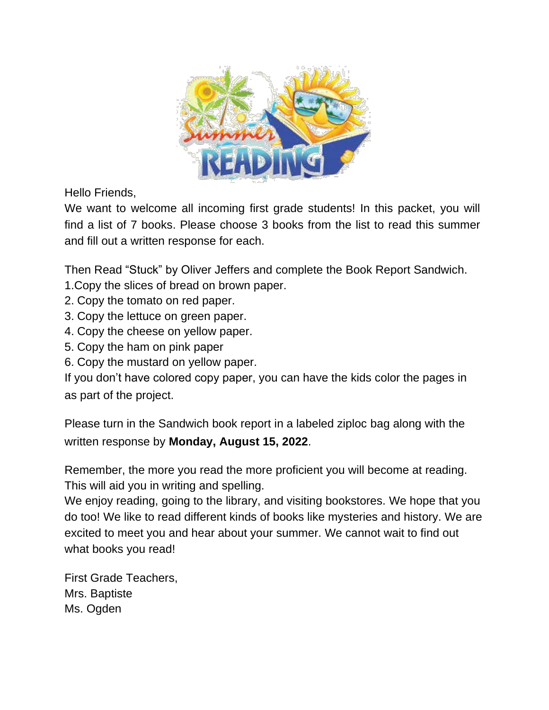

Hello Friends,

We want to welcome all incoming first grade students! In this packet, you will find a list of 7 books. Please choose 3 books from the list to read this summer and fill out a written response for each.

Then Read "Stuck" by Oliver Jeffers and complete the Book Report Sandwich.

- 1.Copy the slices of bread on brown paper.
- 2. Copy the tomato on red paper.
- 3. Copy the lettuce on green paper.
- 4. Copy the cheese on yellow paper.
- 5. Copy the ham on pink paper
- 6. Copy the mustard on yellow paper.

If you don't have colored copy paper, you can have the kids color the pages in as part of the project.

Please turn in the Sandwich book report in a labeled ziploc bag along with the written response by **Monday, August 15, 2022**.

Remember, the more you read the more proficient you will become at reading. This will aid you in writing and spelling.

We enjoy reading, going to the library, and visiting bookstores. We hope that you do too! We like to read different kinds of books like mysteries and history. We are excited to meet you and hear about your summer. We cannot wait to find out what books you read!

First Grade Teachers, Mrs. Baptiste Ms. Ogden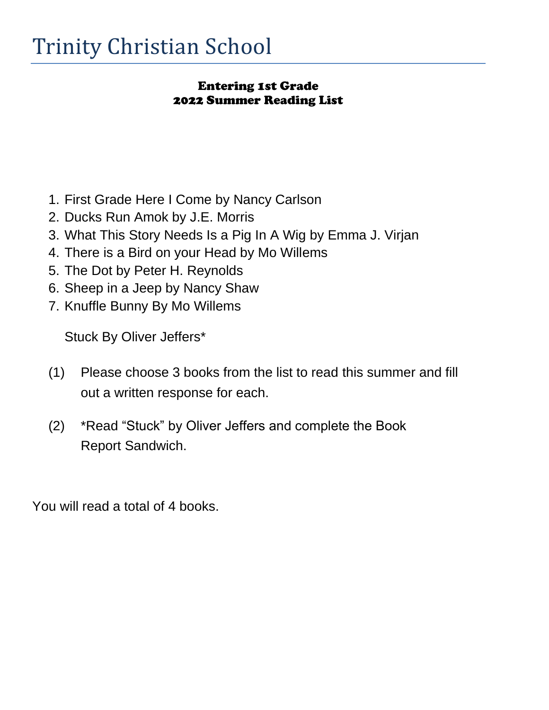## Entering 1st Grade 2022 Summer Reading List

- 1. First Grade Here I Come by Nancy Carlson
- 2. Ducks Run Amok by J.E. Morris
- 3. What This Story Needs Is a Pig In A Wig by Emma J. Virjan
- 4. There is a Bird on your Head by Mo Willems
- 5. The Dot by Peter H. Reynolds
- 6. Sheep in a Jeep by Nancy Shaw
- 7. Knuffle Bunny By Mo Willems

Stuck By Oliver Jeffers\*

- (1) Please choose 3 books from the list to read this summer and fill out a written response for each.
- (2) \*Read "Stuck" by Oliver Jeffers and complete the Book Report Sandwich.

You will read a total of 4 books.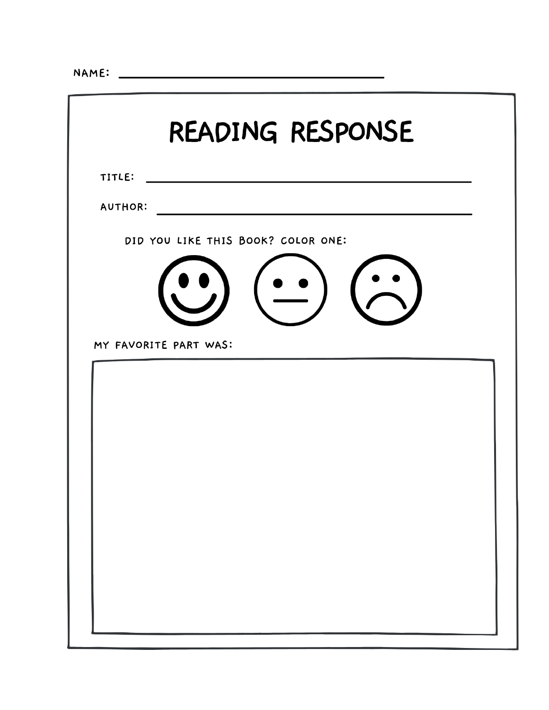the control of the control of the control of the control of

| READING RESPONSE         |                                    |  |  |  |
|--------------------------|------------------------------------|--|--|--|
| TITLE:<br><b>AUTHOR:</b> |                                    |  |  |  |
|                          | DID YOU LIKE THIS BOOK? COLOR ONE: |  |  |  |
|                          |                                    |  |  |  |
|                          | MY FAVORITE PART WAS:              |  |  |  |
|                          |                                    |  |  |  |
|                          |                                    |  |  |  |
|                          |                                    |  |  |  |
|                          |                                    |  |  |  |
|                          |                                    |  |  |  |
|                          |                                    |  |  |  |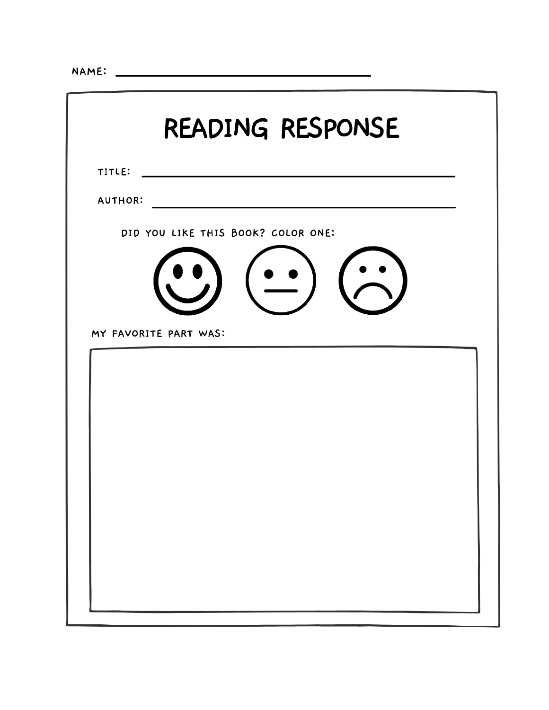| READING RESPONSE                                            |  |  |  |  |
|-------------------------------------------------------------|--|--|--|--|
| TITLE:                                                      |  |  |  |  |
| <b>AUTHOR:</b>                                              |  |  |  |  |
| DID YOU LIKE THIS BOOK? COLOR ONE:<br>MY FAVORITE PART WAS: |  |  |  |  |
|                                                             |  |  |  |  |
|                                                             |  |  |  |  |
|                                                             |  |  |  |  |
|                                                             |  |  |  |  |
|                                                             |  |  |  |  |
|                                                             |  |  |  |  |
|                                                             |  |  |  |  |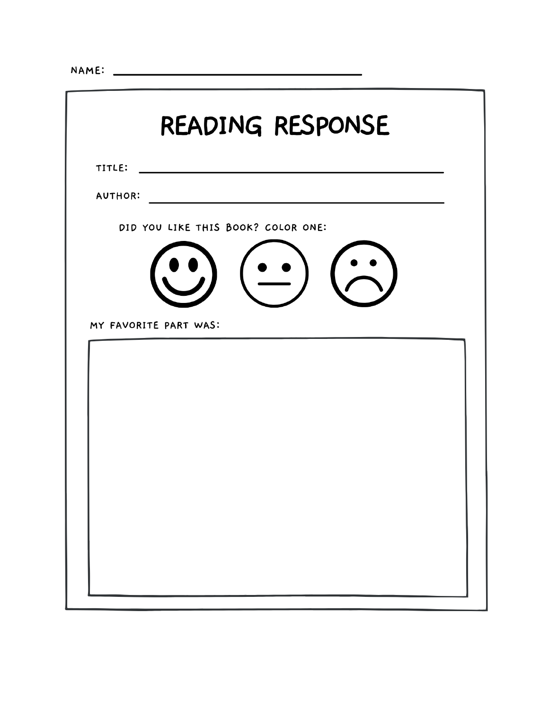|                |                       | READING RESPONSE                   |  |
|----------------|-----------------------|------------------------------------|--|
| TITLE:         |                       |                                    |  |
| <b>AUTHOR:</b> |                       |                                    |  |
|                |                       | DID YOU LIKE THIS BOOK? COLOR ONE: |  |
|                | MY FAVORITE PART WAS: |                                    |  |
|                |                       |                                    |  |
|                |                       |                                    |  |
|                |                       |                                    |  |
|                |                       |                                    |  |
|                |                       |                                    |  |
|                |                       |                                    |  |
|                |                       |                                    |  |
|                |                       |                                    |  |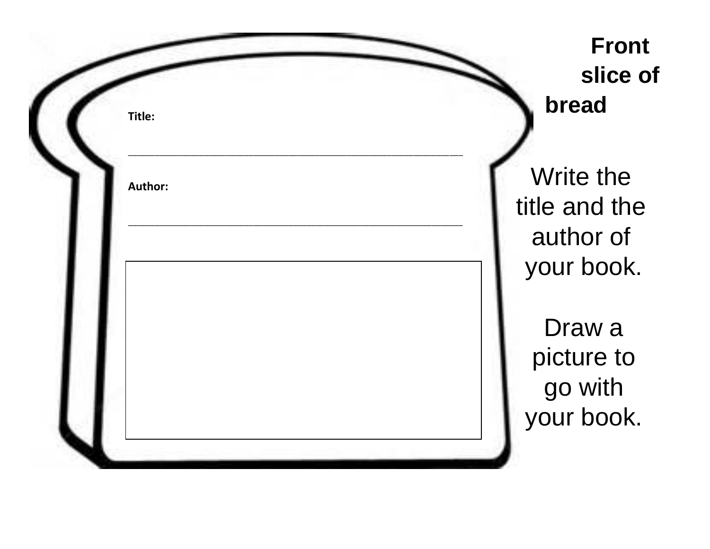| Title:  | <b>Front</b><br>slice of<br>bread                     |
|---------|-------------------------------------------------------|
| Author: | Write the<br>title and the<br>author of<br>your book. |
|         | Draw a<br>picture to<br>go with<br>your book.         |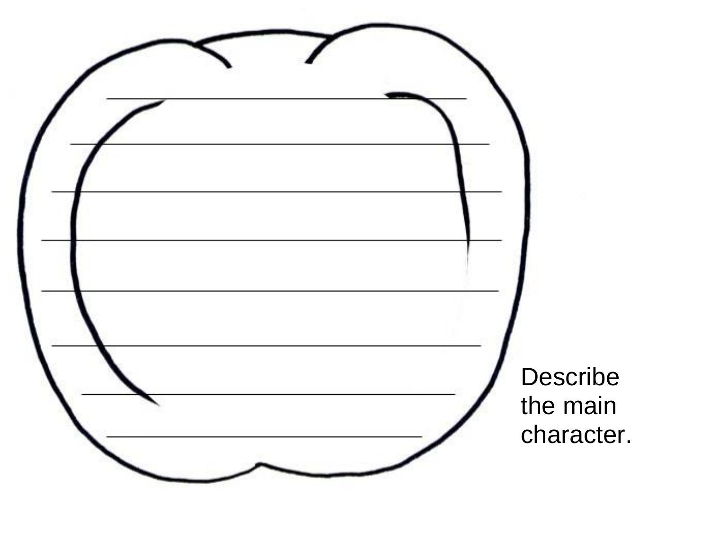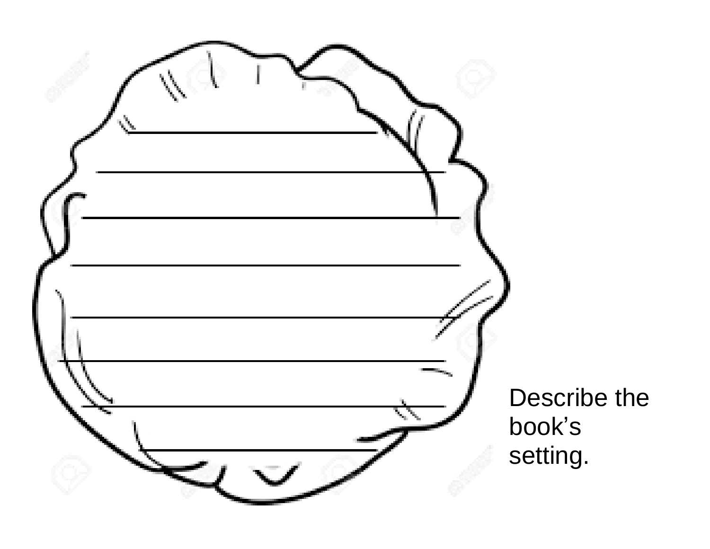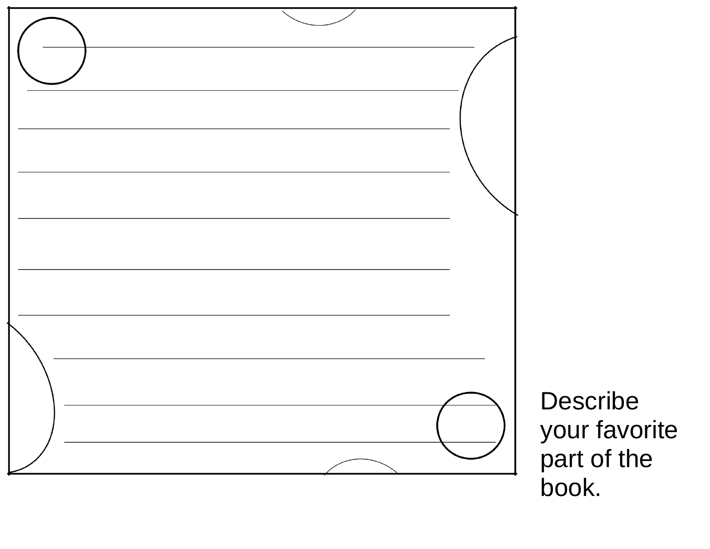

Describe your favorite part of the book.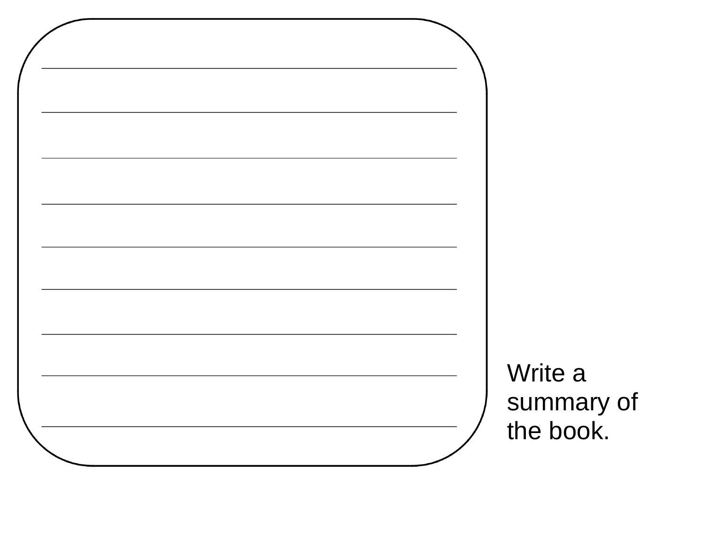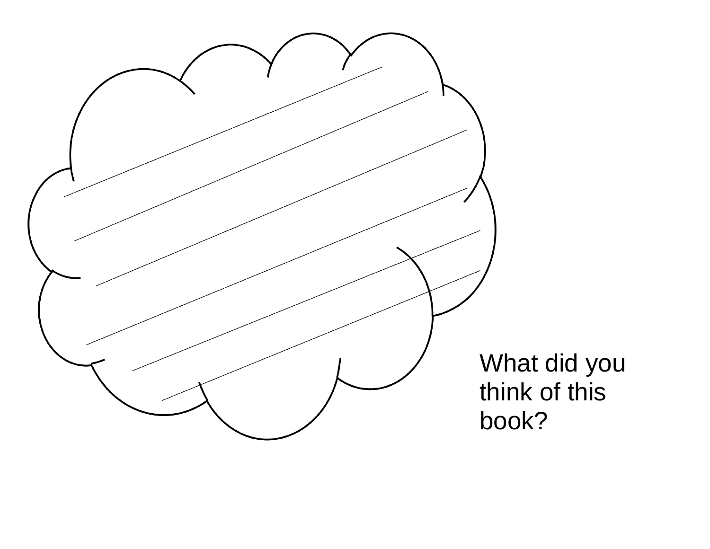